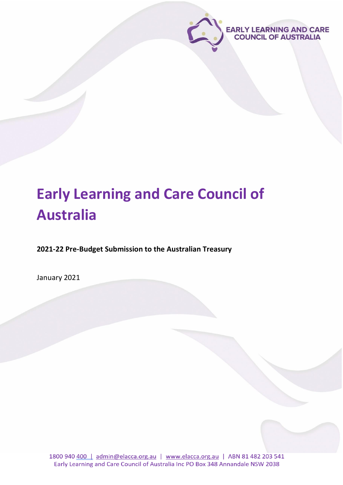

# **Early Learning and Care Council of Australia**

**2021-22 Pre-Budget Submission to the Australian Treasury**

January 2021

1800 940 400 | admin@elacca.org.au | www.elacca.org.au | ABN 81 482 203 541 Early Learning and Care Council of Australia Inc PO Box 348 Annandale NSW 2038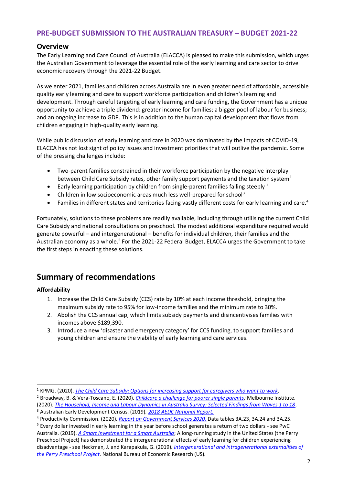## **PRE-BUDGET SUBMISSION TO THE AUSTRALIAN TREASURY – BUDGET 2021-22**

## **Overview**

The Early Learning and Care Council of Australia (ELACCA) is pleased to make this submission, which urges the Australian Government to leverage the essential role of the early learning and care sector to drive economic recovery through the 2021-22 Budget.

As we enter 2021, families and children across Australia are in even greater need of affordable, accessible quality early learning and care to support workforce participation and children's learning and development. Through careful targeting of early learning and care funding, the Government has a unique opportunity to achieve a triple dividend: greater income for families; a bigger pool of labour for business; and an ongoing increase to GDP. This is in addition to the human capital development that flows from children engaging in high-quality early learning.

While public discussion of early learning and care in 2020 was dominated by the impacts of COVID-19, ELACCA has not lost sight of policy issues and investment priorities that will outlive the pandemic. Some of the pressing challenges include:

- Two-parent families constrained in their workforce participation by the negative interplay between Child Care Subsidy rates, other family support payments and the taxation system<sup>1</sup>
- Early learning participation by children from single-parent families falling steeply <sup>2</sup>
- Children in low socioeconomic areas much less well-prepared for school<sup>3</sup>
- Families in different states and territories facing vastly different costs for early learning and care.<sup>4</sup>

Fortunately, solutions to these problems are readily available, including through utilising the current Child Care Subsidy and national consultations on preschool. The modest additional expenditure required would generate powerful – and intergenerational – benefits for individual children, their families and the Australian economy as a whole.<sup>5</sup> For the 2021-22 Federal Budget, ELACCA urges the Government to take the first steps in enacting these solutions.

## **Summary of recommendations**

#### **Affordability**

- 1. Increase the Child Care Subsidy (CCS) rate by 10% at each income threshold, bringing the maximum subsidy rate to 95% for low-income families and the minimum rate to 30%.
- 2. Abolish the CCS annual cap, which limits subsidy payments and disincentivises families with incomes above \$189,390.
- 3. Introduce a new 'disaster and emergency category' for CCS funding, to support families and young children and ensure the viability of early learning and care services.

<sup>1</sup> KPMG. (2020). *[The Child Care Subsidy: Options for increasing support for caregivers who want to work.](https://assets.kpmg/content/dam/kpmg/au/pdf/2020/kpmg-child-care-subsidy-report.pdf)* 

<sup>2</sup> Broadway, B. & Vera-Toscano, E. (2020). *[Childcare a challenge for poorer single parents;](https://pursuit.unimelb.edu.au/articles/childcare-a-challenge-for-poorer-single-parents)* Melbourne Institute. (2020). *[The Household, Income and Labour Dynamics in Australia Survey: Selected Findings from Waves 1 to 18](https://melbourneinstitute.unimelb.edu.au/__data/assets/pdf_file/0009/3537441/HILDA-Statistical-report-2020.pdf)*.

<sup>3</sup> Australian Early Development Census. (2019). *[2018 AEDC National Report.](https://www.aedc.gov.au/resources/detail/2018-aedc-national-report)*

<sup>4</sup> Productivity Commission. (2020). *[Report on Government Services 2020.](https://www.pc.gov.au/research/ongoing/report-on-government-services/2020/child-care-education-and-training/early-childhood-education-and-care/rogs-2020-partb-section3.pdf)* Data tables 3A.23, 3A.24 and 3A.25.

<sup>5</sup> Every dollar invested in early learning in the year before school generates a return of two dollars - see PwC Australia. (2019). *[A Smart Investment for a Smart Australia](https://www.thefrontproject.org.au/images/downloads/ECO%20ANALYSIS%20Full%20Report.pdf)*; A long-running study in the United States (the Perry Preschool Project) has demonstrated the intergenerational effects of early learning for children experiencing disadvantage - see Heckman, J. and Karapakula, G. (2019). *[Intergenerational and intragenerational externalities of](https://www.nber.org/papers/w25889)  [the Perry Preschool Project](https://www.nber.org/papers/w25889)*. National Bureau of Economic Research (US).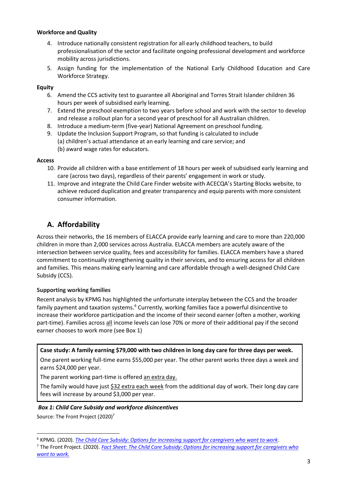#### **Workforce and Quality**

- 4. Introduce nationally consistent registration for all early childhood teachers, to build professionalisation of the sector and facilitate ongoing professional development and workforce mobility across jurisdictions.
- 5. Assign funding for the implementation of the National Early Childhood Education and Care Workforce Strategy.

#### **Equity**

- 6. Amend the CCS activity test to guarantee all Aboriginal and Torres Strait Islander children 36 hours per week of subsidised early learning.
- 7. Extend the preschool exemption to two years before school and work with the sector to develop and release a rollout plan for a second year of preschool for all Australian children.
- 8. Introduce a medium-term (five-year) National Agreement on preschool funding.
- 9. Update the Inclusion Support Program, so that funding is calculated to include (a) children's actual attendance at an early learning and care service; and
	- (b) award wage rates for educators.

#### **Access**

- 10. Provide all children with a base entitlement of 18 hours per week of subsidised early learning and care (across two days), regardless of their parents' engagement in work or study.
- 11. Improve and integrate the Child Care Finder website with ACECQA's Starting Blocks website, to achieve reduced duplication and greater transparency and equip parents with more consistent consumer information.

## **A. Affordability**

Across their networks, the 16 members of ELACCA provide early learning and care to more than 220,000 children in more than 2,000 services across Australia. ELACCA members are acutely aware of the intersection between service quality, fees and accessibility for families. ELACCA members have a shared commitment to continually strengthening quality in their services, and to ensuring access for all children and families. This means making early learning and care affordable through a well-designed Child Care Subsidy (CCS).

#### **Supporting working families**

Recent analysis by KPMG has highlighted the unfortunate interplay between the CCS and the broader family payment and taxation systems.<sup>6</sup> Currently, working families face a powerful disincentive to increase their workforce participation and the income of their second earner (often a mother, working part-time). Families across all income levels can lose 70% or more of their additional pay if the second earner chooses to work more (see Box 1)

#### **Case study: A family earning \$79,000 with two children in long day care for three days per week.**

One parent working full-time earns \$55,000 per year. The other parent works three days a week and earns \$24,000 per year.

The parent working part-time is offered an extra day.

The family would have just \$32 extra each week from the additional day of work. Their long day care fees will increase by around \$3,000 per year.

#### *Box 1: Child Care Subsidy and workforce disincentives*

Source: The Front Project (2020)<sup>7</sup>

<sup>6</sup> KPMG. (2020). *[The Child Care Subsidy: Options for increasing support for caregivers who want to work](https://assets.kpmg/content/dam/kpmg/au/pdf/2020/kpmg-child-care-subsidy-report.pdf)*.

<sup>7</sup> The Front Project. (2020). *[Fact Sheet: The Child Care Subsidy: Options for increasing support for caregivers who](https://www.thefrontproject.org.au/images/downloads/Fact_sheet_Optimising_the_Child_Care_Care_Subsidy.pdf?ver=2)  [want to work.](https://www.thefrontproject.org.au/images/downloads/Fact_sheet_Optimising_the_Child_Care_Care_Subsidy.pdf?ver=2)*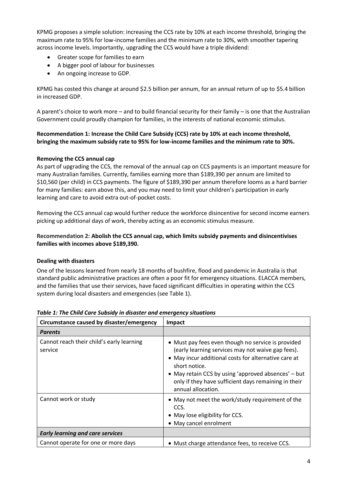KPMG proposes a simple solution: increasing the CCS rate by 10% at each income threshold, bringing the maximum rate to 95% for low-income families and the minimum rate to 30%, with smoother tapering across income levels. Importantly, upgrading the CCS would have a triple dividend:

- Greater scope for families to earn
- A bigger pool of labour for businesses
- An ongoing increase to GDP.

KPMG has costed this change at around \$2.5 billion per annum, for an annual return of up to \$5.4 billion in increased GDP.

A parent's choice to work more – and to build financial security for their family – is one that the Australian Government could proudly champion for families, in the interests of national economic stimulus.

#### **Recommendation 1: Increase the Child Care Subsidy (CCS) rate by 10% at each income threshold, bringing the maximum subsidy rate to 95% for low-income families and the minimum rate to 30%.**

#### **Removing the CCS annual cap**

As part of upgrading the CCS, the removal of the annual cap on CCS payments is an important measure for many Australian families. Currently, families earning more than \$189,390 per annum are limited to \$10,560 (per child) in CCS payments. The figure of \$189,390 per annum therefore looms as a hard barrier for many families: earn above this, and you may need to limit your children's participation in early learning and care to avoid extra out-of-pocket costs.

Removing the CCS annual cap would further reduce the workforce disincentive for second income earners picking up additional days of work, thereby acting as an economic stimulus measure.

#### **Recommendation 2: Abolish the CCS annual cap, which limits subsidy payments and disincentivises families with incomes above \$189,390.**

#### **Dealing with disasters**

One of the lessons learned from nearly 18 months of bushfire, flood and pandemic in Australia is that standard public administrative practices are often a poor fit for emergency situations. ELACCA members, and the families that use their services, have faced significant difficulties in operating within the CCS system during local disasters and emergencies (see Table 1).

| Circumstance caused by disaster/emergency            | Impact                                                                                                                                                                                                                                                                                                                |
|------------------------------------------------------|-----------------------------------------------------------------------------------------------------------------------------------------------------------------------------------------------------------------------------------------------------------------------------------------------------------------------|
| <b>Parents</b>                                       |                                                                                                                                                                                                                                                                                                                       |
| Cannot reach their child's early learning<br>service | • Must pay fees even though no service is provided<br>(early learning services may not waive gap fees).<br>• May incur additional costs for alternative care at<br>short notice.<br>• May retain CCS by using 'approved absences' – but<br>only if they have sufficient days remaining in their<br>annual allocation. |
| Cannot work or study                                 | • May not meet the work/study requirement of the<br>CCS.<br>• May lose eligibility for CCS.<br>• May cancel enrolment                                                                                                                                                                                                 |
| <b>Early learning and care services</b>              |                                                                                                                                                                                                                                                                                                                       |
| Cannot operate for one or more days                  | • Must charge attendance fees, to receive CCS.                                                                                                                                                                                                                                                                        |

#### *Table 1: The Child Care Subsidy in disaster and emergency situations*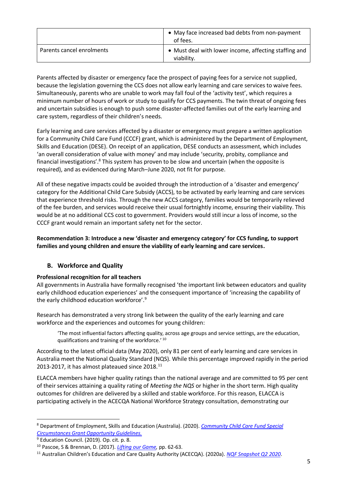|                           | • May face increased bad debts from non-payment<br>of fees.         |
|---------------------------|---------------------------------------------------------------------|
| Parents cancel enrolments | • Must deal with lower income, affecting staffing and<br>viability. |

Parents affected by disaster or emergency face the prospect of paying fees for a service not supplied, because the legislation governing the CCS does not allow early learning and care services to waive fees. Simultaneously, parents who are unable to work may fall foul of the 'activity test', which requires a minimum number of hours of work or study to qualify for CCS payments. The twin threat of ongoing fees and uncertain subsidies is enough to push some disaster-affected families out of the early learning and care system, regardless of their children's needs.

Early learning and care services affected by a disaster or emergency must prepare a written application for a Community Child Care Fund (CCCF) grant, which is administered by the Department of Employment, Skills and Education (DESE). On receipt of an application, DESE conducts an assessment, which includes 'an overall consideration of value with money' and may include 'security, probity, compliance and financial investigations'.<sup>8</sup> This system has proven to be slow and uncertain (when the opposite is required), and as evidenced during March–June 2020, not fit for purpose.

All of these negative impacts could be avoided through the introduction of a 'disaster and emergency' category for the Additional Child Care Subsidy (ACCS), to be activated by early learning and care services that experience threshold risks. Through the new ACCS category, families would be temporarily relieved of the fee burden, and services would receive their usual fortnightly income, ensuring their viability. This would be at no additional CCS cost to government. Providers would still incur a loss of income, so the CCCF grant would remain an important safety net for the sector.

**Recommendation 3: Introduce a new 'disaster and emergency category' for CCS funding, to support families and young children and ensure the viability of early learning and care services.**

#### **B. Workforce and Quality**

#### **Professional recognition for all teachers**

All governments in Australia have formally recognised 'the important link between educators and quality early childhood education experiences' and the consequent importance of 'increasing the capability of the early childhood education workforce'.<sup>9</sup>

Research has demonstrated a very strong link between the quality of the early learning and care workforce and the experiences and outcomes for young children:

'The most influential factors affecting quality, across age groups and service settings, are the education, qualifications and training of the workforce.' <sup>10</sup>

According to the latest official data (May 2020), only 81 per cent of early learning and care services in Australia meet the National Quality Standard (NQS). While this percentage improved rapidly in the period 2013-2017, it has almost plateaued since 2018.<sup>11</sup>

ELACCA members have higher quality ratings than the national average and are committed to 95 per cent of their services attaining a quality rating of *Meeting the NQS* or higher in the short term. High quality outcomes for children are delivered by a skilled and stable workforce. For this reason, ELACCA is participating actively in the ACECQA National Workforce Strategy consultation, demonstrating our

<sup>8</sup> Department of Employment, Skills and Education (Australia). (2020). *[Community Child Care Fund Special](file:///C:/Users/admin/Downloads/cccf_special_circumstances_guidelines_september_2020%20(1).pdf)  [Circumstances Grant Opportunity Guidelines.](file:///C:/Users/admin/Downloads/cccf_special_circumstances_guidelines_september_2020%20(1).pdf)*

<sup>&</sup>lt;sup>9</sup> Education Council. (2019). Op. cit. p. 8.

<sup>10</sup> Pascoe, S & Brennan, D. (2017). *[Lifting our Game,](https://education.nsw.gov.au/content/dam/main-education/early-childhood-education/whats-happening-in-the-early-childhood-education-sector/media/documents/Lifting-Our-Game-Final-Report.pdf)* pp. 62-63.

<sup>11</sup> Australian Children's Education and Care Quality Authority (ACECQA). (2020a). *[NQF Snapshot Q2 2020](https://www.acecqa.gov.au/sites/default/files/2020-08/NQFSnapshot_Q2May2020_1.pdf)*.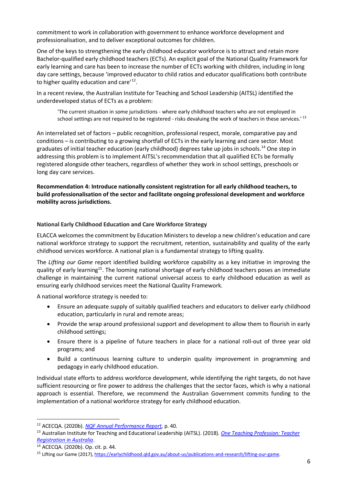commitment to work in collaboration with government to enhance workforce development and professionalisation, and to deliver exceptional outcomes for children.

One of the keys to strengthening the early childhood educator workforce is to attract and retain more Bachelor-qualified early childhood teachers (ECTs). An explicit goal of the National Quality Framework for early learning and care has been to increase the number of ECTs working with children, including in long day care settings, because 'improved educator to child ratios and educator qualifications both contribute to higher quality education and care'<sup>12</sup>.

In a recent review, the Australian Institute for Teaching and School Leadership (AITSL) identified the underdeveloped status of ECTs as a problem:

'The current situation in some jurisdictions - where early childhood teachers who are not employed in school settings are not required to be registered - risks devaluing the work of teachers in these services.'<sup>13</sup>

An interrelated set of factors – public recognition, professional respect, morale, comparative pay and conditions – is contributing to a growing shortfall of ECTs in the early learning and care sector. Most graduates of initial teacher education (early childhood) degrees take up jobs in schools.<sup>14</sup> One step in addressing this problem is to implement AITSL's recommendation that all qualified ECTs be formally registered alongside other teachers, regardless of whether they work in school settings, preschools or long day care services.

**Recommendation 4: Introduce nationally consistent registration for all early childhood teachers, to build professionalisation of the sector and facilitate ongoing professional development and workforce mobility across jurisdictions.**

#### **National Early Childhood Education and Care Workforce Strategy**

ELACCA welcomes the commitment by Education Ministers to develop a new children's education and care national workforce strategy to support the recruitment, retention, sustainability and quality of the early childhood services workforce. A national plan is a fundamental strategy to lifting quality.

The *Lifting our Game* report identified building workforce capability as a key initiative in improving the quality of early learning<sup>15</sup>. The looming national shortage of early childhood teachers poses an immediate challenge in maintaining the current national universal access to early childhood education as well as ensuring early childhood services meet the National Quality Framework.

A national workforce strategy is needed to:

- Ensure an adequate supply of suitably qualified teachers and educators to deliver early childhood education, particularly in rural and remote areas;
- Provide the wrap around professional support and development to allow them to flourish in early childhood settings;
- Ensure there is a pipeline of future teachers in place for a national roll-out of three year old programs; and
- Build a continuous learning culture to underpin quality improvement in programming and pedagogy in early childhood education.

Individual state efforts to address workforce development, while identifying the right targets, do not have sufficient resourcing or fire power to address the challenges that the sector faces, which is why a national approach is essential. Therefore, we recommend the Australian Government commits funding to the implementation of a national workforce strategy for early childhood education.

<sup>12</sup> ACECQA. (2020b). *NQF Annual [Performance Report](https://www.acecqa.gov.au/sites/default/files/2020-12/NQF-Annual-Performance-Report-2020.PDF)*, p. 40.

<sup>13</sup> Australian Institute for Teaching and Educational Leadership (AITSL). (2018). *[One Teaching Profession: Teacher](https://www.aitsl.edu.au/docs/default-source/national-review-of-teacher-registration/report/one-teaching-profession---teacher-registration-in-australia.pdf)  [Registration in Australia](https://www.aitsl.edu.au/docs/default-source/national-review-of-teacher-registration/report/one-teaching-profession---teacher-registration-in-australia.pdf)*.

<sup>14</sup> ACECQA. (2020b). Op. cit. p. 44.

<sup>15</sup> Lifting our Game (2017)[, https://earlychildhood.qld.gov.au/about-us/publications-and-research/lifting-our-game.](https://earlychildhood.qld.gov.au/about-us/publications-and-research/lifting-our-game)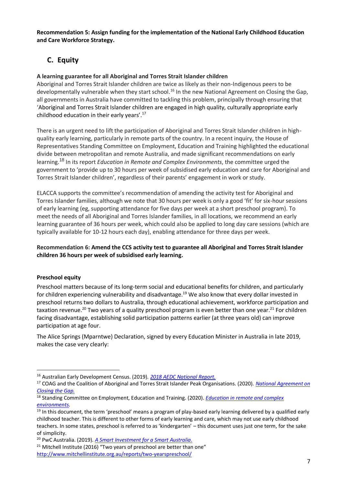**Recommendation 5: Assign funding for the implementation of the National Early Childhood Education and Care Workforce Strategy.**

## **C. Equity**

#### **A learning guarantee for all Aboriginal and Torres Strait Islander children**

Aboriginal and Torres Strait Islander children are twice as likely as their non-Indigenous peers to be developmentally vulnerable when they start school.<sup>16</sup> In the new National Agreement on Closing the Gap. all governments in Australia have committed to tackling this problem, principally through ensuring that 'Aboriginal and Torres Strait Islander children are engaged in high quality, culturally appropriate early childhood education in their early years'.<sup>17</sup>

There is an urgent need to lift the participation of Aboriginal and Torres Strait Islander children in highquality early learning, particularly in remote parts of the country. In a recent inquiry, the House of Representatives Standing Committee on Employment, Education and Training highlighted the educational divide between metropolitan and remote Australia, and made significant recommendations on early learning.<sup>18</sup> In its report *Education in Remote and Complex Environments*, the committee urged the government to 'provide up to 30 hours per week of subsidised early education and care for Aboriginal and Torres Strait Islander children', regardless of their parents' engagement in work or study.

ELACCA supports the committee's recommendation of amending the activity test for Aboriginal and Torres Islander families, although we note that 30 hours per week is only a good 'fit' for six-hour sessions of early learning (eg, supporting attendance for five days per week at a short preschool program). To meet the needs of all Aboriginal and Torres Islander families, in all locations, we recommend an early learning guarantee of 36 hours per week, which could also be applied to long day care sessions (which are typically available for 10-12 hours each day), enabling attendance for three days per week.

#### **Recommendation 6: Amend the CCS activity test to guarantee all Aboriginal and Torres Strait Islander children 36 hours per week of subsidised early learning.**

#### **Preschool equity**

Preschool matters because of its long-term social and educational benefits for children, and particularly for children experiencing vulnerability and disadvantage.<sup>19</sup> We also know that every dollar invested in preschool returns two dollars to Australia, through educational achievement, workforce participation and taxation revenue.<sup>20</sup> Two years of a quality preschool program is even better than one year.<sup>21</sup> For children facing disadvantage, establishing solid participation patterns earlier (at three years old) can improve participation at age four.

The Alice Springs (Mparntwe) Declaration, signed by every Education Minister in Australia in late 2019, makes the case very clearly:

<sup>16</sup> Australian Early Development Census. (2019). *[2018 AEDC National Report.](https://www.aedc.gov.au/resources/detail/2018-aedc-national-report)*

<sup>17</sup> COAG and the Coalition of Aboriginal and Torres Strait Islander Peak Organisations. (2020). *[National Agreement on](https://www.closingthegap.gov.au/sites/default/files/files/national-agreement-ctg.pdf)  [Closing the Gap.](https://www.closingthegap.gov.au/sites/default/files/files/national-agreement-ctg.pdf)*

<sup>18</sup> Standing Committee on Employment, Education and Training. (2020). *[Education in remote and complex](https://www.aph.gov.au/Parliamentary_Business/Committees/House/Employment_Education_and_Training/RemoteEducation/Report)  [environments](https://www.aph.gov.au/Parliamentary_Business/Committees/House/Employment_Education_and_Training/RemoteEducation/Report)*.

 $19$  In this document, the term 'preschool' means a program of play-based early learning delivered by a qualified early childhood teacher. This is different to other forms of early learning and care, which may not use early childhood teachers. In some states, preschool is referred to as 'kindergarten' – this document uses just one term, for the sake of simplicity.

<sup>20</sup> PwC Australia. (2019). *[A Smart Investment for a Smart Australia.](https://www.thefrontproject.org.au/images/downloads/ECO%20ANALYSIS%20Full%20Report.pdf)*

<sup>&</sup>lt;sup>21</sup> Mitchell Institute (2016) "Two years of preschool are better than one" <http://www.mitchellinstitute.org.au/reports/two-yearspreschool/>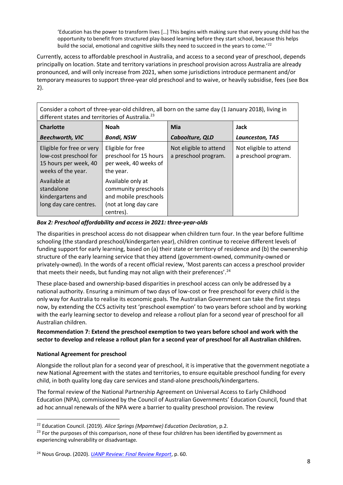'Education has the power to transform lives […] This begins with making sure that every young child has the opportunity to benefit from structured play-based learning before they start school, because this helps build the social, emotional and cognitive skills they need to succeed in the years to come.<sup>'22</sup>

Currently, access to affordable preschool in Australia, and access to a second year of preschool, depends principally on location. State and territory variations in preschool provision across Australia are already pronounced, and will only increase from 2021, when some jurisdictions introduce permanent and/or temporary measures to support three-year old preschool and to waive, or heavily subsidise, fees (see Box 2).

Consider a cohort of three-year-old children, all born on the same day (1 January 2018), living in different states and territories of Australia.<sup>23</sup>

| <b>Charlotte</b>                                                                                   | <b>Noah</b>                                                                                              | Mia                                            | Jack                                           |  |
|----------------------------------------------------------------------------------------------------|----------------------------------------------------------------------------------------------------------|------------------------------------------------|------------------------------------------------|--|
| <b>Beechworth, VIC</b>                                                                             | <b>Bondi, NSW</b>                                                                                        | Caboolture, QLD                                | Launceston, TAS                                |  |
| Eligible for free or very<br>low-cost preschool for<br>15 hours per week, 40<br>weeks of the year. | Eligible for free<br>preschool for 15 hours<br>per week, 40 weeks of<br>the year.                        | Not eligible to attend<br>a preschool program. | Not eligible to attend<br>a preschool program. |  |
| Available at<br>standalone<br>kindergartens and<br>long day care centres.                          | Available only at<br>community preschools<br>and mobile preschools<br>(not at long day care<br>centres). |                                                |                                                |  |

#### *Box 2: Preschool affordability and access in 2021: three-year-olds*

The disparities in preschool access do not disappear when children turn four. In the year before fulltime schooling (the standard preschool/kindergarten year), children continue to receive different levels of funding support for early learning, based on (a) their state or territory of residence and (b) the ownership structure of the early learning service that they attend (government-owned, community-owned or privately-owned). In the words of a recent official review, 'Most parents can access a preschool provider that meets their needs, but funding may not align with their preferences'.<sup>24</sup>

These place-based and ownership-based disparities in preschool access can only be addressed by a national authority. Ensuring a minimum of two days of low-cost or free preschool for every child is the only way for Australia to realise its economic goals. The Australian Government can take the first steps now, by extending the CCS activity test 'preschool exemption' to two years before school and by working with the early learning sector to develop and release a rollout plan for a second year of preschool for all Australian children.

#### **Recommendation 7: Extend the preschool exemption to two years before school and work with the sector to develop and release a rollout plan for a second year of preschool for all Australian children.**

#### **National Agreement for preschool**

Alongside the rollout plan for a second year of preschool, it is imperative that the government negotiate a new National Agreement with the states and territories, to ensure equitable preschool funding for every child, in both quality long day care services and stand-alone preschools/kindergartens.

The formal review of the National Partnership Agreement on Universal Access to Early Childhood Education (NPA), commissioned by the Council of Australian Governments' Education Council, found that ad hoc annual renewals of the NPA were a barrier to quality preschool provision. The review

<sup>22</sup> Education Council. (2019). *Alice Springs (Mparntwe) Education Declaration*, p.2.

<sup>&</sup>lt;sup>23</sup> For the purposes of this comparison, none of these four children has been identified by government as experiencing vulnerability or disadvantage.

<sup>24</sup> Nous Group. (2020). *[UANP Review: Final Review Report](http://www.educationcouncil.edu.au/site/DefaultSite/filesystem/documents/Reports%20and%20publications/Publications/Early%20childhood%20education/UANP%20Review%20Final%20Review%20Report%20-%20October%202020.pdf)*, p. 60.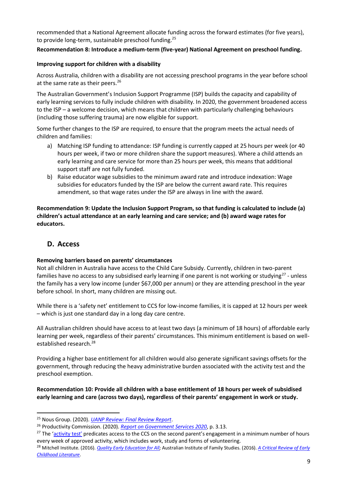recommended that a National Agreement allocate funding across the forward estimates (for five years), to provide long-term, sustainable preschool funding.<sup>25</sup>

#### **Recommendation 8: Introduce a medium-term (five-year) National Agreement on preschool funding.**

#### **Improving support for children with a disability**

Across Australia, children with a disability are not accessing preschool programs in the year before school at the same rate as their peers.<sup>26</sup>

The Australian Government's Inclusion Support Programme (ISP) builds the capacity and capability of early learning services to fully include children with disability. In 2020, the government broadened access to the ISP – a welcome decision, which means that children with particularly challenging behaviours (including those suffering trauma) are now eligible for support.

Some further changes to the ISP are required, to ensure that the program meets the actual needs of children and families:

- a) Matching ISP funding to attendance: ISP funding is currently capped at 25 hours per week (or 40 hours per week, if two or more children share the support measures). Where a child attends an early learning and care service for more than 25 hours per week, this means that additional support staff are not fully funded.
- b) Raise educator wage subsidies to the minimum award rate and introduce indexation: Wage subsidies for educators funded by the ISP are below the current award rate. This requires amendment, so that wage rates under the ISP are always in line with the award.

**Recommendation 9: Update the Inclusion Support Program, so that funding is calculated to include (a) children's actual attendance at an early learning and care service; and (b) award wage rates for educators.**

#### **D. Access**

#### **Removing barriers based on parents' circumstances**

Not all children in Australia have access to the Child Care Subsidy. Currently, children in two-parent families have no access to any subsidised early learning if one parent is not working or studying<sup>27</sup> - unless the family has a very low income (under \$67,000 per annum) or they are attending preschool in the year before school. In short, many children are missing out.

While there is a 'safety net' entitlement to CCS for low-income families, it is capped at 12 hours per week – which is just one standard day in a long day care centre.

All Australian children should have access to at least two days (a minimum of 18 hours) of affordable early learning per week, regardless of their parents' circumstances. This minimum entitlement is based on wellestablished research.<sup>28</sup>

Providing a higher base entitlement for all children would also generate significant savings offsets for the government, through reducing the heavy administrative burden associated with the activity test and the preschool exemption.

**Recommendation 10: Provide all children with a base entitlement of 18 hours per week of subsidised early learning and care (across two days), regardless of their parents' engagement in work or study.**

<sup>25</sup> Nous Group. (2020). *[UANP Review: Final Review Report](http://www.educationcouncil.edu.au/site/DefaultSite/filesystem/documents/Reports%20and%20publications/Publications/Early%20childhood%20education/UANP%20Review%20Final%20Review%20Report%20-%20October%202020.pdf)*.

<sup>26</sup> Productivity Commission. (2020). *[Report on Government Services 2020](https://www.pc.gov.au/research/ongoing/report-on-government-services/2020/child-care-education-and-training/early-childhood-education-and-care/rogs-2020-partb-section3.pdf)*, p. 3.13.

<sup>&</sup>lt;sup>27</sup> The ['activity test'](https://www.education.gov.au/child-care-subsidy-activity-test) predicates access to the CCS on the second parent's engagement in a minimum number of hours every week of approved activity, which includes work, study and forms of volunteering.

<sup>&</sup>lt;sup>28</sup> Mitchell Institute. (2016). *[Quality Early Education for All;](http://www.mitchellinstitute.org.au/wp-content/uploads/2016/04/Quality-Early-Education-for-All-FINAL.pdf)* Australian Institute of Family Studies. (2016). *A Critical Review of Early [Childhood Literature](https://docs.education.gov.au/system/files/doc/other/aifs_crit_review_ec_lit_final_pdf_0.pdf)*.